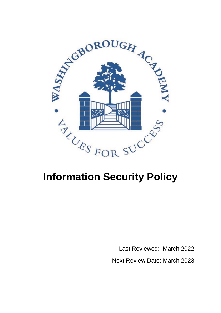

# **Information Security Policy**

 Last Reviewed: March 2022 Next Review Date: March 2023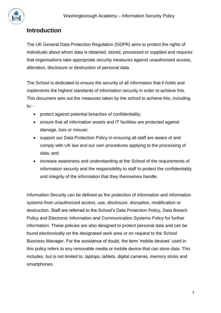

### **Introduction**

The UK General Data Protection Regulation (GDPR) aims to protect the rights of individuals about whom data is obtained, stored, processed or supplied and requires that organisations take appropriate security measures against unauthorised access, alteration, disclosure or destruction of personal data.

The School is dedicated to ensure the security of all information that it holds and implements the highest standards of information security in order to achieve this. This document sets out the measures taken by the school to achieve this, including to: -

- protect against potential breaches of confidentiality;
- ensure that all information assets and IT facilities are protected against damage, loss or misuse;
- support our Data Protection Policy in ensuring all staff are aware of and comply with UK law and our own procedures applying to the processing of data; and
- increase awareness and understanding at the School of the requirements of information security and the responsibility to staff to protect the confidentiality and integrity of the information that they themselves handle.

Information Security can be defined as the protection of information and information systems from unauthorized access, use, disclosure, disruption, modification or destruction. Staff are referred to the School's Data Protection Policy, Data Breach Policy and Electronic Information and Communication Systems Policy for further information. These policies are also designed to protect personal data and can be found electronically on the designated work area or on request to the School Business Manager. For the avoidance of doubt, the term 'mobile devices' used in this policy refers to any removable media or mobile device that can store data. This includes, but is not limited to, laptops, tablets, digital cameras, memory sticks and smartphones.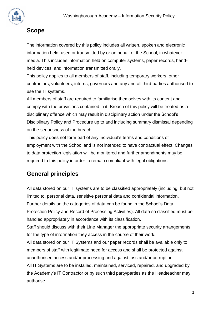

## **Scope**

The information covered by this policy includes all written, spoken and electronic information held, used or transmitted by or on behalf of the School, in whatever media. This includes information held on computer systems, paper records, handheld devices, and information transmitted orally.

This policy applies to all members of staff, including temporary workers, other contractors, volunteers, interns, governors and any and all third parties authorised to use the IT systems.

All members of staff are required to familiarise themselves with its content and comply with the provisions contained in it. Breach of this policy will be treated as a disciplinary offence which may result in disciplinary action under the School's Disciplinary Policy and Procedure up to and including summary dismissal depending on the seriousness of the breach.

This policy does not form part of any individual's terms and conditions of employment with the School and is not intended to have contractual effect. Changes to data protection legislation will be monitored and further amendments may be required to this policy in order to remain compliant with legal obligations.

## **General principles**

All data stored on our IT systems are to be classified appropriately (including, but not limited to, personal data, sensitive personal data and confidential information. Further details on the categories of data can be found in the School's Data Protection Policy and Record of Processing Activities). All data so classified must be handled appropriately in accordance with its classification.

Staff should discuss with their Line Manager the appropriate security arrangements for the type of information they access in the course of their work.

All data stored on our IT Systems and our paper records shall be available only to members of staff with legitimate need for access and shall be protected against unauthorised access and/or processing and against loss and/or corruption.

All IT Systems are to be installed, maintained, serviced, repaired, and upgraded by the Academy's IT Contractor or by such third party/parties as the Headteacher may authorise.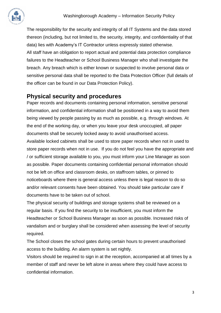

The responsibility for the security and integrity of all IT Systems and the data stored thereon (including, but not limited to, the security, integrity, and confidentiality of that data) lies with Academy's IT Contractor unless expressly stated otherwise. All staff have an obligation to report actual and potential data protection compliance failures to the Headteacher or School Business Manager who shall investigate the breach. Any breach which is either known or suspected to involve personal data or sensitive personal data shall be reported to the Data Protection Officer (full details of the officer can be found in our Data Protection Policy).

#### **Physical security and procedures**

Paper records and documents containing personal information, sensitive personal information, and confidential information shall be positioned in a way to avoid them being viewed by people passing by as much as possible, e.g. through windows. At the end of the working day, or when you leave your desk unoccupied, all paper documents shall be securely locked away to avoid unauthorised access. Available locked cabinets shall be used to store paper records when not in used to store paper records when not in use. If you do not feel you have the appropriate and / or sufficient storage available to you, you must inform your Line Manager as soon as possible. Paper documents containing confidential personal information should not be left on office and classroom desks, on staffroom tables, or pinned to noticeboards where there is general access unless there is legal reason to do so and/or relevant consents have been obtained. You should take particular care if documents have to be taken out of school.

The physical security of buildings and storage systems shall be reviewed on a regular basis. If you find the security to be insufficient, you must inform the Headteacher or School Business Manager as soon as possible. Increased risks of vandalism and or burglary shall be considered when assessing the level of security required.

The School closes the school gates during certain hours to prevent unauthorised access to the building. An alarm system is set nightly.

Visitors should be required to sign in at the reception, accompanied at all times by a member of staff and never be left alone in areas where they could have access to confidential information.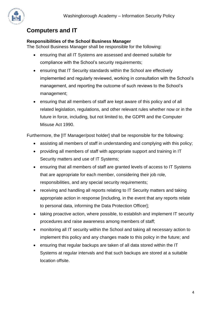

## **Computers and IT**

#### **Responsibilities of the School Business Manager**

The School Business Manager shall be responsible for the following:

- ensuring that all IT Systems are assessed and deemed suitable for compliance with the School's security requirements;
- ensuring that IT Security standards within the School are effectively implemented and regularly reviewed, working in consultation with the School's management, and reporting the outcome of such reviews to the School's management;
- ensuring that all members of staff are kept aware of this policy and of all related legislation, regulations, and other relevant rules whether now or in the future in force, including, but not limited to, the GDPR and the Computer Misuse Act 1990.

Furthermore, the [IT Manager/post holder] shall be responsible for the following:

- assisting all members of staff in understanding and complying with this policy;
- providing all members of staff with appropriate support and training in IT Security matters and use of IT Systems;
- ensuring that all members of staff are granted levels of access to IT Systems that are appropriate for each member, considering their job role, responsibilities, and any special security requirements;
- receiving and handling all reports relating to IT Security matters and taking appropriate action in response [including, in the event that any reports relate to personal data, informing the Data Protection Officer];
- taking proactive action, where possible, to establish and implement IT security procedures and raise awareness among members of staff;
- monitoring all IT security within the School and taking all necessary action to implement this policy and any changes made to this policy in the future; and
- ensuring that regular backups are taken of all data stored within the IT Systems at regular intervals and that such backups are stored at a suitable location offsite.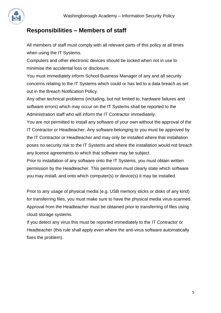

#### **Responsibilities – Members of staff**

All members of staff must comply with all relevant parts of this policy at all times when using the IT Systems.

Computers and other electronic devices should be locked when not in use to minimise the accidental loss or disclosure.

You must immediately inform School Business Manager of any and all security concerns relating to the IT Systems which could or has led to a data breach as set out in the Breach Notification Policy.

Any other technical problems (including, but not limited to, hardware failures and software errors) which may occur on the IT Systems shall be reported to the Administration staff who will inform the IT Contractor immediately.

You are not permitted to install any software of your own without the approval of the IT Contractor or Headteacher. Any software belonging to you must be approved by the IT Contractor or Headteacher and may only be installed where that installation poses no security risk to the IT Systems and where the installation would not breach any licence agreements to which that software may be subject.

Prior to installation of any software onto the IT Systems, you must obtain written permission by the Headteacher. This permission must clearly state which software you may install, and onto which computer(s) or device(s) it may be installed.

Prior to any usage of physical media (e.g. USB memory sticks or disks of any kind) for transferring files, you must make sure to have the physical media virus-scanned. Approval from the Headteacher must be obtained prior to transferring of files using cloud storage systems.

If you detect any virus this must be reported immediately to the IT Contractor or Headteacher (this rule shall apply even where the anti-virus software automatically fixes the problem).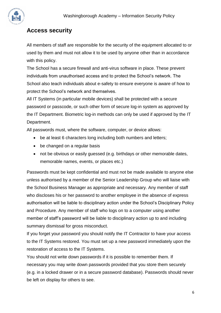

#### **Access security**

All members of staff are responsible for the security of the equipment allocated to or used by them and must not allow it to be used by anyone other than in accordance with this policy.

The School has a secure firewall and anti-virus software in place. These prevent individuals from unauthorised access and to protect the School's network. The School also teach individuals about e-safety to ensure everyone is aware of how to protect the School's network and themselves.

All IT Systems (in particular mobile devices) shall be protected with a secure password or passcode, or such other form of secure log-in system as approved by the IT Department. Biometric log-in methods can only be used if approved by the IT Department.

All passwords must, where the software, computer, or device allows:

- be at least 6 characters long including both numbers and letters;
- be changed on a regular basis
- not be obvious or easily quessed (e.g. birthdays or other memorable dates, memorable names, events, or places etc.)

Passwords must be kept confidential and must not be made available to anyone else unless authorised by a member of the Senior Leadership Group who will liaise with the School Business Manager as appropriate and necessary. Any member of staff who discloses his or her password to another employee in the absence of express authorisation will be liable to disciplinary action under the School's Disciplinary Policy and Procedure. Any member of staff who logs on to a computer using another member of staff's password will be liable to disciplinary action up to and including summary dismissal for gross misconduct.

If you forget your password you should notify the IT Contractor to have your access to the IT Systems restored. You must set up a new password immediately upon the restoration of access to the IT Systems.

You should not write down passwords if it is possible to remember them. If necessary you may write down passwords provided that you store them securely (e.g. in a locked drawer or in a secure password database). Passwords should never be left on display for others to see.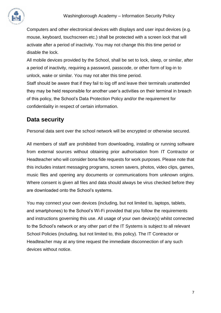

Computers and other electronical devices with displays and user input devices (e.g. mouse, keyboard, touchscreen etc.) shall be protected with a screen lock that will activate after a period of inactivity. You may not change this this time period or disable the lock.

All mobile devices provided by the School, shall be set to lock, sleep, or similar, after a period of inactivity, requiring a password, passcode, or other form of log-in to unlock, wake or similar. You may not alter this time period.

Staff should be aware that if they fail to log off and leave their terminals unattended they may be held responsible for another user's activities on their terminal in breach of this policy, the School's Data Protection Policy and/or the requirement for confidentiality in respect of certain information.

## **Data security**

Personal data sent over the school network will be encrypted or otherwise secured.

All members of staff are prohibited from downloading, installing or running software from external sources without obtaining prior authorisation from IT Contractor or Headteacher who will consider bona fide requests for work purposes. Please note that this includes instant messaging programs, screen savers, photos, video clips, games, music files and opening any documents or communications from unknown origins. Where consent is given all files and data should always be virus checked before they are downloaded onto the School's systems.

You may connect your own devices (including, but not limited to, laptops, tablets, and smartphones) to the School's Wi-Fi provided that you follow the requirements and instructions governing this use. All usage of your own device(s) whilst connected to the School's network or any other part of the IT Systems is subject to all relevant School Policies (including, but not limited to, this policy). The IT Contractor or Headteacher may at any time request the immediate disconnection of any such devices without notice.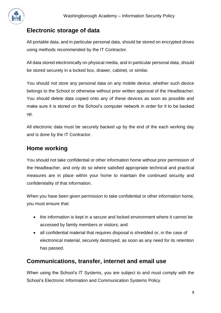#### **Electronic storage of data**

All portable data, and in particular personal data, should be stored on encrypted drives using methods recommended by the IT Contractor.

All data stored electronically on physical media, and in particular personal data, should be stored securely in a locked box, drawer, cabinet, or similar.

You should not store any personal data on any mobile device, whether such device belongs to the School or otherwise without prior written approval of the Headteacher. You should delete data copied onto any of these devices as soon as possible and make sure it is stored on the School's computer network in order for it to be backed up.

All electronic data must be securely backed up by the end of the each working day and is done by the IT Contractor.

#### **Home working**

You should not take confidential or other information home without prior permission of the Headteacher, and only do so where satisfied appropriate technical and practical measures are in place within your home to maintain the continued security and confidentiality of that information.

When you have been given permission to take confidential or other information home, you must ensure that:

- the information is kept in a secure and locked environment where it cannot be accessed by family members or visitors; and
- all confidential material that requires disposal is shredded or, in the case of electronical material, securely destroyed, as soon as any need for its retention has passed.

#### **Communications, transfer, internet and email use**

When using the School's IT Systems, you are subject to and must comply with the School's Electronic Information and Communication Systems Policy.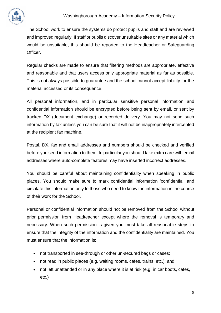

The School work to ensure the systems do protect pupils and staff and are reviewed and improved regularly. If staff or pupils discover unsuitable sites or any material which would be unsuitable, this should be reported to the Headteacher or Safeguarding Officer.

Regular checks are made to ensure that filtering methods are appropriate, effective and reasonable and that users access only appropriate material as far as possible. This is not always possible to guarantee and the school cannot accept liability for the material accessed or its consequence.

All personal information, and in particular sensitive personal information and confidential information should be encrypted before being sent by email, or sent by tracked DX (document exchange) or recorded delivery. You may not send such information by fax unless you can be sure that it will not be inappropriately intercepted at the recipient fax machine.

Postal, DX, fax and email addresses and numbers should be checked and verified before you send information to them. In particular you should take extra care with email addresses where auto-complete features may have inserted incorrect addresses.

You should be careful about maintaining confidentiality when speaking in public places. You should make sure to mark confidential information 'confidential' and circulate this information only to those who need to know the information in the course of their work for the School.

Personal or confidential information should not be removed from the School without prior permission from Headteacher except where the removal is temporary and necessary. When such permission is given you must take all reasonable steps to ensure that the integrity of the information and the confidentiality are maintained. You must ensure that the information is:

- not transported in see-through or other un-secured bags or cases;
- not read in public places (e.g. waiting rooms, cafes, trains, etc.); and
- not left unattended or in any place where it is at risk (e.g. in car boots, cafes, etc.)